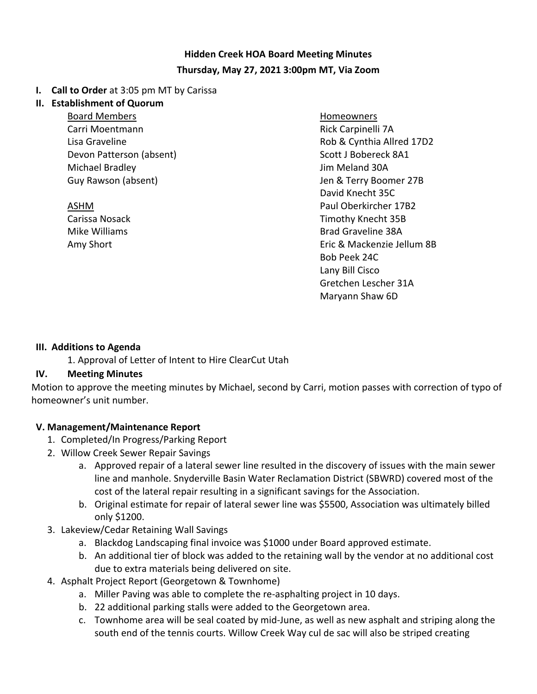# **Hidden Creek HOA Board Meeting Minutes Thursday, May 27, 2021 3:00pm MT, Via Zoom**

#### **I. Call to Order** at 3:05 pm MT by Carissa

#### **II. Establishment of Quorum**

Board Members Carri Moentmann Lisa Graveline Devon Patterson (absent) Michael Bradley Guy Rawson (absent)

ASHM Carissa Nosack Mike Williams Amy Short

Homeowners Rick Carpinelli 7A Rob & Cynthia Allred 17D2 Scott J Bobereck 8A1 Jim Meland 30A Jen & Terry Boomer 27B David Knecht 35C Paul Oberkircher 17B2 Timothy Knecht 35B Brad Graveline 38A Eric & Mackenzie Jellum 8B Bob Peek 24C Lany Bill Cisco Gretchen Lescher 31A Maryann Shaw 6D

#### **III. Additions to Agenda**

1. Approval of Letter of Intent to Hire ClearCut Utah

#### **IV. Meeting Minutes**

Motion to approve the meeting minutes by Michael, second by Carri, motion passes with correction of typo of homeowner's unit number.

#### **V. Management/Maintenance Report**

- 1. Completed/In Progress/Parking Report
- 2. Willow Creek Sewer Repair Savings
	- a. Approved repair of a lateral sewer line resulted in the discovery of issues with the main sewer line and manhole. Snyderville Basin Water Reclamation District (SBWRD) covered most of the cost of the lateral repair resulting in a significant savings for the Association.
	- b. Original estimate for repair of lateral sewer line was \$5500, Association was ultimately billed only \$1200.
- 3. Lakeview/Cedar Retaining Wall Savings
	- a. Blackdog Landscaping final invoice was \$1000 under Board approved estimate.
	- b. An additional tier of block was added to the retaining wall by the vendor at no additional cost due to extra materials being delivered on site.
- 4. Asphalt Project Report (Georgetown & Townhome)
	- a. Miller Paving was able to complete the re-asphalting project in 10 days.
	- b. 22 additional parking stalls were added to the Georgetown area.
	- c. Townhome area will be seal coated by mid-June, as well as new asphalt and striping along the south end of the tennis courts. Willow Creek Way cul de sac will also be striped creating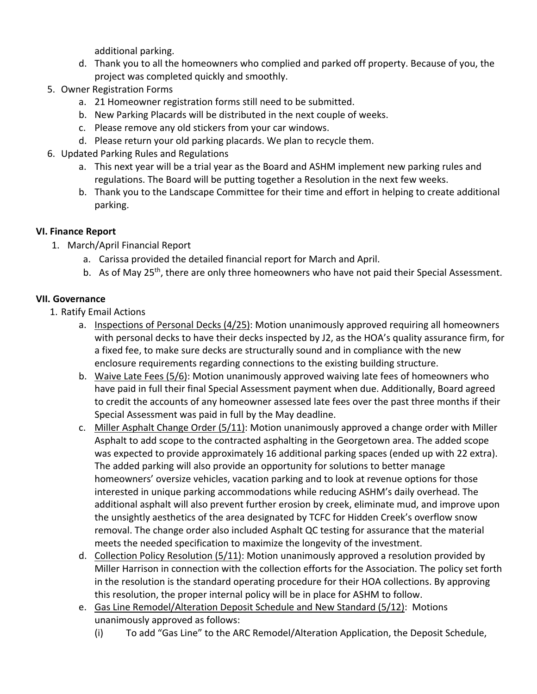additional parking.

- d. Thank you to all the homeowners who complied and parked off property. Because of you, the project was completed quickly and smoothly.
- 5. Owner Registration Forms
	- a. 21 Homeowner registration forms still need to be submitted.
	- b. New Parking Placards will be distributed in the next couple of weeks.
	- c. Please remove any old stickers from your car windows.
	- d. Please return your old parking placards. We plan to recycle them.
- 6. Updated Parking Rules and Regulations
	- a. This next year will be a trial year as the Board and ASHM implement new parking rules and regulations. The Board will be putting together a Resolution in the next few weeks.
	- b. Thank you to the Landscape Committee for their time and effort in helping to create additional parking.

### **VI. Finance Report**

- 1. March/April Financial Report
	- a. Carissa provided the detailed financial report for March and April.
	- b. As of May 25<sup>th</sup>, there are only three homeowners who have not paid their Special Assessment.

### **VII. Governance**

- 1. Ratify Email Actions
	- a. Inspections of Personal Decks (4/25): Motion unanimously approved requiring all homeowners with personal decks to have their decks inspected by J2, as the HOA's quality assurance firm, for a fixed fee, to make sure decks are structurally sound and in compliance with the new enclosure requirements regarding connections to the existing building structure.
	- b. Waive Late Fees (5/6): Motion unanimously approved waiving late fees of homeowners who have paid in full their final Special Assessment payment when due. Additionally, Board agreed to credit the accounts of any homeowner assessed late fees over the past three months if their Special Assessment was paid in full by the May deadline.
	- c. Miller Asphalt Change Order (5/11): Motion unanimously approved a change order with Miller Asphalt to add scope to the contracted asphalting in the Georgetown area. The added scope was expected to provide approximately 16 additional parking spaces (ended up with 22 extra). The added parking will also provide an opportunity for solutions to better manage homeowners' oversize vehicles, vacation parking and to look at revenue options for those interested in unique parking accommodations while reducing ASHM's daily overhead. The additional asphalt will also prevent further erosion by creek, eliminate mud, and improve upon the unsightly aesthetics of the area designated by TCFC for Hidden Creek's overflow snow removal. The change order also included Asphalt QC testing for assurance that the material meets the needed specification to maximize the longevity of the investment.
	- d. Collection Policy Resolution (5/11): Motion unanimously approved a resolution provided by Miller Harrison in connection with the collection efforts for the Association. The policy set forth in the resolution is the standard operating procedure for their HOA collections. By approving this resolution, the proper internal policy will be in place for ASHM to follow.
	- e. Gas Line Remodel/Alteration Deposit Schedule and New Standard (5/12): Motions unanimously approved as follows:
		- (i) To add "Gas Line" to the ARC Remodel/Alteration Application, the Deposit Schedule,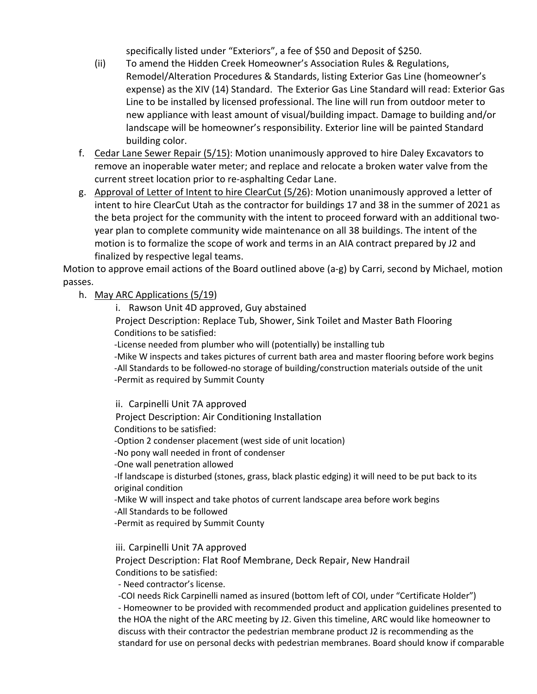specifically listed under "Exteriors", a fee of \$50 and Deposit of \$250.

- (ii) To amend the Hidden Creek Homeowner's Association Rules & Regulations, Remodel/Alteration Procedures & Standards, listing Exterior Gas Line (homeowner's expense) as the XIV (14) Standard. The Exterior Gas Line Standard will read: Exterior Gas Line to be installed by licensed professional. The line will run from outdoor meter to new appliance with least amount of visual/building impact. Damage to building and/or landscape will be homeowner's responsibility. Exterior line will be painted Standard building color.
- f. Cedar Lane Sewer Repair (5/15): Motion unanimously approved to hire Daley Excavators to remove an inoperable water meter; and replace and relocate a broken water valve from the current street location prior to re-asphalting Cedar Lane.
- g. Approval of Letter of Intent to hire ClearCut (5/26): Motion unanimously approved a letter of intent to hire ClearCut Utah as the contractor for buildings 17 and 38 in the summer of 2021 as the beta project for the community with the intent to proceed forward with an additional twoyear plan to complete community wide maintenance on all 38 buildings. The intent of the motion is to formalize the scope of work and terms in an AIA contract prepared by J2 and finalized by respective legal teams.

Motion to approve email actions of the Board outlined above (a-g) by Carri, second by Michael, motion passes.

h. May ARC Applications (5/19)

i. Rawson Unit 4D approved, Guy abstained

Project Description: Replace Tub, Shower, Sink Toilet and Master Bath Flooring Conditions to be satisfied:

-License needed from plumber who will (potentially) be installing tub

-Mike W inspects and takes pictures of current bath area and master flooring before work begins -All Standards to be followed-no storage of building/construction materials outside of the unit -Permit as required by Summit County

ii. Carpinelli Unit 7A approved Project Description: Air Conditioning Installation Conditions to be satisfied: -Option 2 condenser placement (west side of unit location) -No pony wall needed in front of condenser -One wall penetration allowed -If landscape is disturbed (stones, grass, black plastic edging) it will need to be put back to its original condition -Mike W will inspect and take photos of current landscape area before work begins -All Standards to be followed -Permit as required by Summit County

iii. Carpinelli Unit 7A approved

Project Description: Flat Roof Membrane, Deck Repair, New Handrail Conditions to be satisfied:

- Need contractor's license.

-COI needs Rick Carpinelli named as insured (bottom left of COI, under "Certificate Holder") - Homeowner to be provided with recommended product and application guidelines presented to the HOA the night of the ARC meeting by J2. Given this timeline, ARC would like homeowner to discuss with their contractor the pedestrian membrane product J2 is recommending as the standard for use on personal decks with pedestrian membranes. Board should know if comparable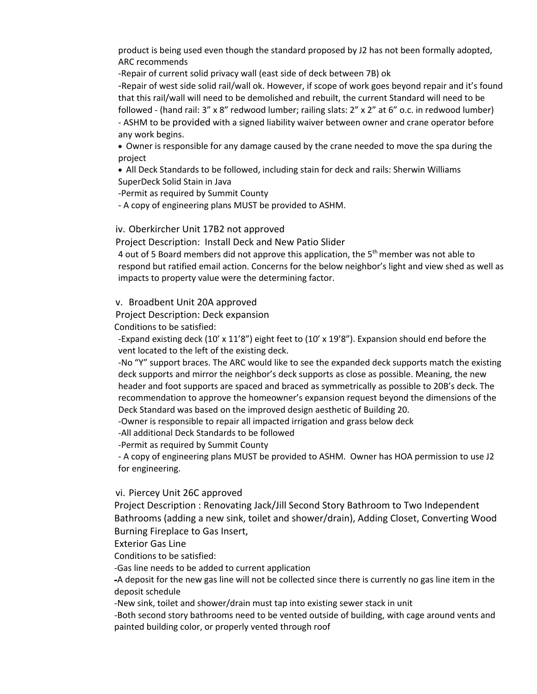product is being used even though the standard proposed by J2 has not been formally adopted, ARC recommends

-Repair of current solid privacy wall (east side of deck between 7B) ok

-Repair of west side solid rail/wall ok. However, if scope of work goes beyond repair and it's found that this rail/wall will need to be demolished and rebuilt, the current Standard will need to be followed - (hand rail: 3" x 8" redwood lumber; railing slats: 2" x 2" at 6" o.c. in redwood lumber) - ASHM to be provided with a signed liability waiver between owner and crane operator before any work begins.

• Owner is responsible for any damage caused by the crane needed to move the spa during the project

• All Deck Standards to be followed, including stain for deck and rails: Sherwin Williams SuperDeck Solid Stain in Java

-Permit as required by Summit County

- A copy of engineering plans MUST be provided to ASHM.

#### iv. Oberkircher Unit 17B2 not approved

Project Description: Install Deck and New Patio Slider

4 out of 5 Board members did not approve this application, the  $5<sup>th</sup>$  member was not able to respond but ratified email action. Concerns for the below neighbor's light and view shed as well as impacts to property value were the determining factor.

v. Broadbent Unit 20A approved

Project Description: Deck expansion

Conditions to be satisfied:

-Expand existing deck (10' x 11'8") eight feet to (10' x 19'8"). Expansion should end before the vent located to the left of the existing deck.

-No "Y" support braces. The ARC would like to see the expanded deck supports match the existing deck supports and mirror the neighbor's deck supports as close as possible. Meaning, the new header and foot supports are spaced and braced as symmetrically as possible to 20B's deck. The recommendation to approve the homeowner's expansion request beyond the dimensions of the Deck Standard was based on the improved design aesthetic of Building 20.

-Owner is responsible to repair all impacted irrigation and grass below deck

-All additional Deck Standards to be followed

-Permit as required by Summit County

- A copy of engineering plans MUST be provided to ASHM. Owner has HOA permission to use J2 for engineering.

#### vi. Piercey Unit 26C approved

Project Description : Renovating Jack/Jill Second Story Bathroom to Two Independent Bathrooms (adding a new sink, toilet and shower/drain), Adding Closet, Converting Wood Burning Fireplace to Gas Insert,

Exterior Gas Line

Conditions to be satisfied:

-Gas line needs to be added to current application

-A deposit for the new gas line will not be collected since there is currently no gas line item in the deposit schedule

-New sink, toilet and shower/drain must tap into existing sewer stack in unit

-Both second story bathrooms need to be vented outside of building, with cage around vents and painted building color, or properly vented through roof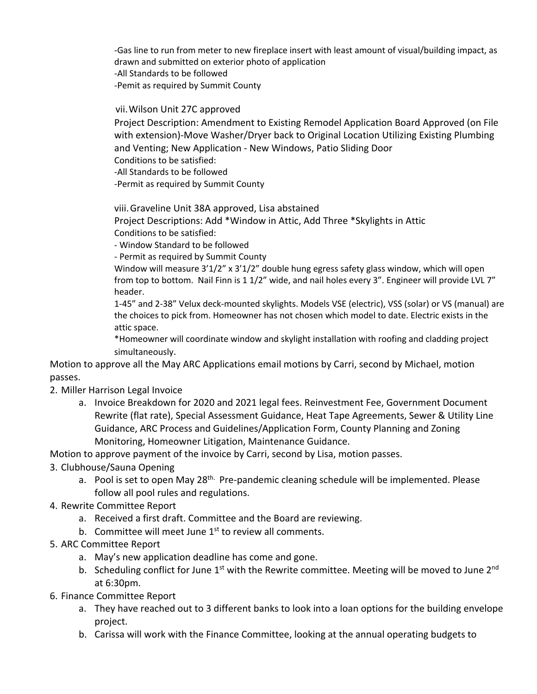-Gas line to run from meter to new fireplace insert with least amount of visual/building impact, as drawn and submitted on exterior photo of application -All Standards to be followed -Pemit as required by Summit County

vii.Wilson Unit 27C approved

Project Description: Amendment to Existing Remodel Application Board Approved (on File with extension)-Move Washer/Dryer back to Original Location Utilizing Existing Plumbing and Venting; New Application - New Windows, Patio Sliding Door Conditions to be satisfied:

-All Standards to be followed

-Permit as required by Summit County

viii.Graveline Unit 38A approved, Lisa abstained

Project Descriptions: Add \*Window in Attic, Add Three \*Skylights in Attic Conditions to be satisfied:

- Window Standard to be followed

- Permit as required by Summit County

Window will measure 3'1/2" x 3'1/2" double hung egress safety glass window, which will open from top to bottom. Nail Finn is 1 1/2" wide, and nail holes every 3". Engineer will provide LVL 7" header.

1-45" and 2-38" Velux deck-mounted skylights. Models VSE (electric), VSS (solar) or VS (manual) are the choices to pick from. Homeowner has not chosen which model to date. Electric exists in the attic space.

\*Homeowner will coordinate window and skylight installation with roofing and cladding project simultaneously.

Motion to approve all the May ARC Applications email motions by Carri, second by Michael, motion passes.

2. Miller Harrison Legal Invoice

a. Invoice Breakdown for 2020 and 2021 legal fees. Reinvestment Fee, Government Document Rewrite (flat rate), Special Assessment Guidance, Heat Tape Agreements, Sewer & Utility Line Guidance, ARC Process and Guidelines/Application Form, County Planning and Zoning Monitoring, Homeowner Litigation, Maintenance Guidance.

Motion to approve payment of the invoice by Carri, second by Lisa, motion passes.

- 3. Clubhouse/Sauna Opening
	- a. Pool is set to open May 28<sup>th.</sup> Pre-pandemic cleaning schedule will be implemented. Please follow all pool rules and regulations.
- 4. Rewrite Committee Report
	- a. Received a first draft. Committee and the Board are reviewing.
	- b. Committee will meet June  $1<sup>st</sup>$  to review all comments.
- 5. ARC Committee Report
	- a. May's new application deadline has come and gone.
	- b. Scheduling conflict for June  $1<sup>st</sup>$  with the Rewrite committee. Meeting will be moved to June 2<sup>nd</sup> at 6:30pm.
- 6. Finance Committee Report
	- a. They have reached out to 3 different banks to look into a loan options for the building envelope project.
	- b. Carissa will work with the Finance Committee, looking at the annual operating budgets to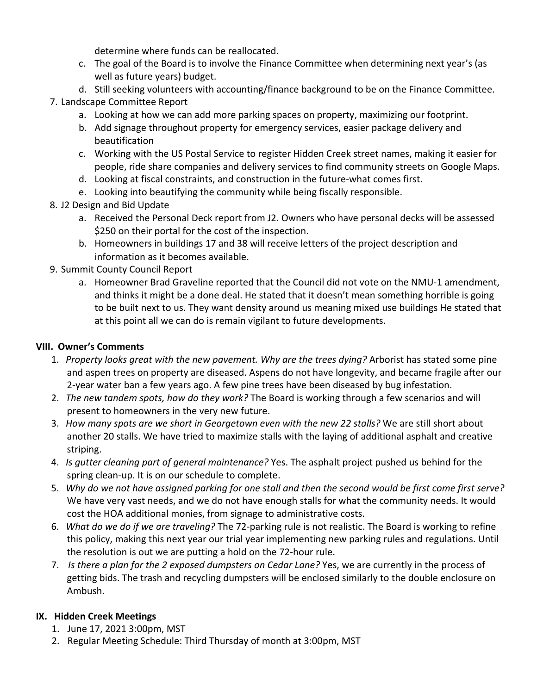determine where funds can be reallocated.

- c. The goal of the Board is to involve the Finance Committee when determining next year's (as well as future years) budget.
- d. Still seeking volunteers with accounting/finance background to be on the Finance Committee.

# 7. Landscape Committee Report

- a. Looking at how we can add more parking spaces on property, maximizing our footprint.
- b. Add signage throughout property for emergency services, easier package delivery and beautification
- c. Working with the US Postal Service to register Hidden Creek street names, making it easier for people, ride share companies and delivery services to find community streets on Google Maps.
- d. Looking at fiscal constraints, and construction in the future-what comes first.
- e. Looking into beautifying the community while being fiscally responsible.
- 8. J2 Design and Bid Update
	- a. Received the Personal Deck report from J2. Owners who have personal decks will be assessed \$250 on their portal for the cost of the inspection.
	- b. Homeowners in buildings 17 and 38 will receive letters of the project description and information as it becomes available.
- 9. Summit County Council Report
	- a. Homeowner Brad Graveline reported that the Council did not vote on the NMU-1 amendment, and thinks it might be a done deal. He stated that it doesn't mean something horrible is going to be built next to us. They want density around us meaning mixed use buildings He stated that at this point all we can do is remain vigilant to future developments.

## **VIII. Owner's Comments**

- 1. *Property looks great with the new pavement. Why are the trees dying?* Arborist has stated some pine and aspen trees on property are diseased. Aspens do not have longevity, and became fragile after our 2-year water ban a few years ago. A few pine trees have been diseased by bug infestation.
- 2. *The new tandem spots, how do they work?* The Board is working through a few scenarios and will present to homeowners in the very new future.
- 3. *How many spots are we short in Georgetown even with the new 22 stalls?* We are still short about another 20 stalls. We have tried to maximize stalls with the laying of additional asphalt and creative striping.
- 4. *Is gutter cleaning part of general maintenance?* Yes. The asphalt project pushed us behind for the spring clean-up. It is on our schedule to complete.
- 5. Why do we not have assigned parking for one stall and then the second would be first come first serve? We have very vast needs, and we do not have enough stalls for what the community needs. It would cost the HOA additional monies, from signage to administrative costs.
- 6. *What do we do if we are traveling?* The 72-parking rule is not realistic. The Board is working to refine this policy, making this next year our trial year implementing new parking rules and regulations. Until the resolution is out we are putting a hold on the 72-hour rule.
- 7. *Is there a plan for the 2 exposed dumpsters on Cedar Lane?* Yes, we are currently in the process of getting bids. The trash and recycling dumpsters will be enclosed similarly to the double enclosure on Ambush.

# **IX. Hidden Creek Meetings**

- 1. June 17, 2021 3:00pm, MST
- 2. Regular Meeting Schedule: Third Thursday of month at 3:00pm, MST